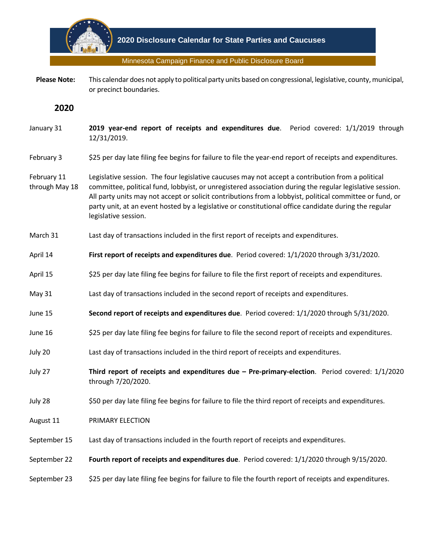

Minnesota Campaign Finance and Public Disclosure Board

 **Please Note:** This calendar does not apply to political party units based on congressional, legislative, county, municipal, or precinct boundaries.

**2020**

- January 31 **2019 year-end report of receipts and expenditures due**. Period covered: 1/1/2019 through 12/31/2019.
- February 3 \$25 per day late filing fee begins for failure to file the year-end report of receipts and expenditures.
- February 11 through May 18 Legislative session. The four legislative caucuses may not accept a contribution from a political committee, political fund, lobbyist, or unregistered association during the regular legislative session. All party units may not accept or solicit contributions from a lobbyist, political committee or fund, or party unit, at an event hosted by a legislative or constitutional office candidate during the regular legislative session.
- March 31 Last day of transactions included in the first report of receipts and expenditures.
- April 14 **First report of receipts and expenditures due**. Period covered: 1/1/2020 through 3/31/2020.
- April 15 \$25 per day late filing fee begins for failure to file the first report of receipts and expenditures.
- May 31 Last day of transactions included in the second report of receipts and expenditures.
- June 15 **Second report of receipts and expenditures due**. Period covered: 1/1/2020 through 5/31/2020.
- June 16 \$25 per day late filing fee begins for failure to file the second report of receipts and expenditures.
- July 20 Last day of transactions included in the third report of receipts and expenditures.
- July 27 **Third report of receipts and expenditures due – Pre-primary-election**. Period covered: 1/1/2020 through 7/20/2020.
- July 28 \$50 per day late filing fee begins for failure to file the third report of receipts and expenditures.
- August 11 PRIMARY ELECTION
- September 15 Last day of transactions included in the fourth report of receipts and expenditures.
- September 22 **Fourth report of receipts and expenditures due**. Period covered: 1/1/2020 through 9/15/2020.
- September 23 \$25 per day late filing fee begins for failure to file the fourth report of receipts and expenditures.